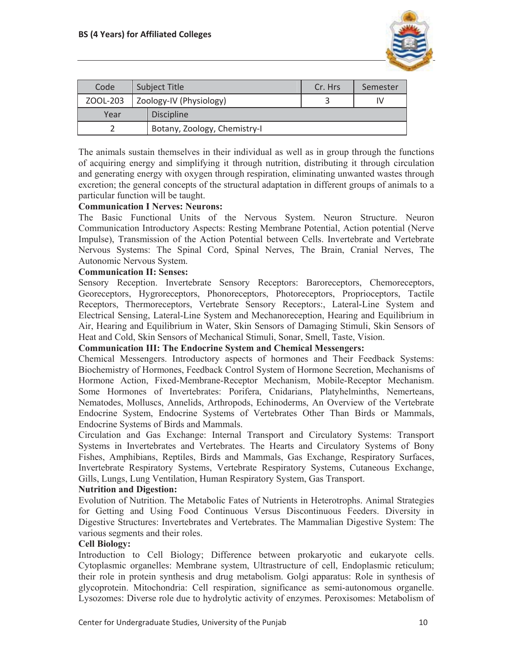

| Code     | <b>Subject Title</b> |                              | Cr. Hrs | Semester |
|----------|----------------------|------------------------------|---------|----------|
| ZOOL-203 |                      | Zoology-IV (Physiology)      |         |          |
| Year     |                      | <b>Discipline</b>            |         |          |
|          |                      | Botany, Zoology, Chemistry-I |         |          |

The animals sustain themselves in their individual as well as in group through the functions of acquiring energy and simplifying it through nutrition, distributing it through circulation and generating energy with oxygen through respiration, eliminating unwanted wastes through excretion; the general concepts of the structural adaptation in different groups of animals to a particular function will be taught.

## **Communication I Nerves: Neurons:**

The Basic Functional Units of the Nervous System. Neuron Structure. Neuron Communication Introductory Aspects: Resting Membrane Potential, Action potential (Nerve Impulse), Transmission of the Action Potential between Cells. Invertebrate and Vertebrate Nervous Systems: The Spinal Cord, Spinal Nerves, The Brain, Cranial Nerves, The Autonomic Nervous System.

## **Communication II: Senses:**

Sensory Reception. Invertebrate Sensory Receptors: Baroreceptors, Chemoreceptors, Georeceptors, Hygroreceptors, Phonoreceptors, Photoreceptors, Proprioceptors, Tactile Receptors, Thermoreceptors, Vertebrate Sensory Receptors:, Lateral-Line System and Electrical Sensing, Lateral-Line System and Mechanoreception, Hearing and Equilibrium in Air, Hearing and Equilibrium in Water, Skin Sensors of Damaging Stimuli, Skin Sensors of Heat and Cold, Skin Sensors of Mechanical Stimuli, Sonar, Smell, Taste, Vision.

### **Communication III: The Endocrine System and Chemical Messengers:**

Chemical Messengers. Introductory aspects of hormones and Their Feedback Systems: Biochemistry of Hormones, Feedback Control System of Hormone Secretion, Mechanisms of Hormone Action, Fixed-Membrane-Receptor Mechanism, Mobile-Receptor Mechanism. Some Hormones of Invertebrates: Porifera, Cnidarians, Platyhelminths, Nemerteans, Nematodes, Molluscs, Annelids, Arthropods, Echinoderms, An Overview of the Vertebrate Endocrine System, Endocrine Systems of Vertebrates Other Than Birds or Mammals, Endocrine Systems of Birds and Mammals.

Circulation and Gas Exchange: Internal Transport and Circulatory Systems: Transport Systems in Invertebrates and Vertebrates. The Hearts and Circulatory Systems of Bony Fishes, Amphibians, Reptiles, Birds and Mammals, Gas Exchange, Respiratory Surfaces, Invertebrate Respiratory Systems, Vertebrate Respiratory Systems, Cutaneous Exchange, Gills, Lungs, Lung Ventilation, Human Respiratory System, Gas Transport.

## **Nutrition and Digestion:**

Evolution of Nutrition. The Metabolic Fates of Nutrients in Heterotrophs. Animal Strategies for Getting and Using Food Continuous Versus Discontinuous Feeders. Diversity in Digestive Structures: Invertebrates and Vertebrates. The Mammalian Digestive System: The various segments and their roles.

### **Cell Biology:**

Introduction to Cell Biology; Difference between prokaryotic and eukaryote cells. Cytoplasmic organelles: Membrane system, Ultrastructure of cell, Endoplasmic reticulum; their role in protein synthesis and drug metabolism. Golgi apparatus: Role in synthesis of glycoprotein. Mitochondria: Cell respiration, significance as semi-autonomous organelle. Lysozomes: Diverse role due to hydrolytic activity of enzymes. Peroxisomes: Metabolism of